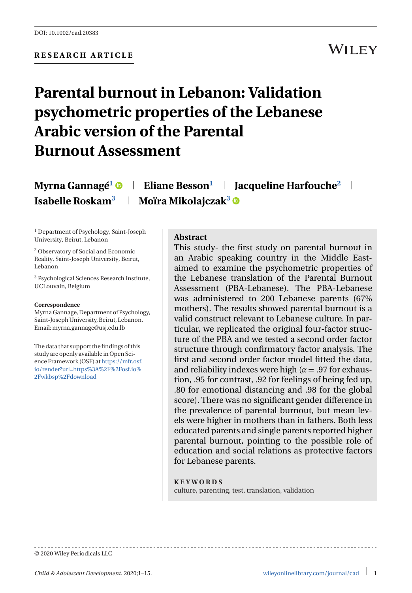### **WILEY**

# **Parental burnout in Lebanon: Validation psychometric properties of the Lebanese Arabic version of the Parental Burnout Assessment**

**Myrna Gannagé<sup>1</sup> • Eliane Besson<sup>1</sup> | Jacqueline Harfouche<sup>2</sup> | Isabelle Roskam<sup>3</sup> | Moïra Mikolajczak<sup>3</sup> ©** 

<sup>1</sup> Department of Psychology, Saint-Joseph University, Beirut, Lebanon

<sup>2</sup> Observatory of Social and Economic Reality, Saint-Joseph University, Beirut, Lebanon

<sup>3</sup> Psychological Sciences Research Institute, UCLouvain, Belgium

#### **Correspondence**

Myrna Gannage, Department of Psychology, Saint-Joseph University, Beirut, Lebanon. Email:myrna.gannage@usj.edu.lb

The data that support the findings of this study are openly available in Open Science Framework (OSF) a[thttps://mfr.osf.](https://mfr.osf.io/render?url=https%3A%2F%2Fosf.io%2Fwkbsp%2Fdownload) [io/render?url=https%3A%2F%2Fosf.io%](https://mfr.osf.io/render?url=https%3A%2F%2Fosf.io%2Fwkbsp%2Fdownload) [2Fwkbsp%2Fdownload](https://mfr.osf.io/render?url=https%3A%2F%2Fosf.io%2Fwkbsp%2Fdownload)

#### **Abstract**

This study- the first study on parental burnout in an Arabic speaking country in the Middle Eastaimed to examine the psychometric properties of the Lebanese translation of the Parental Burnout Assessment (PBA-Lebanese). The PBA-Lebanese was administered to 200 Lebanese parents (67% mothers). The results showed parental burnout is a valid construct relevant to Lebanese culture. In particular, we replicated the original four-factor structure of the PBA and we tested a second order factor structure through confirmatory factor analysis. The first and second order factor model fitted the data, and reliability indexes were high ( $\alpha$  = .97 for exhaustion, .95 for contrast, .92 for feelings of being fed up, .80 for emotional distancing and .98 for the global score). There was no significant gender difference in the prevalence of parental burnout, but mean levels were higher in mothers than in fathers. Both less educated parents and single parents reported higher parental burnout, pointing to the possible role of education and social relations as protective factors for Lebanese parents.

**KEYWORDS** culture, parenting, test, translation, validation

© 2020 Wiley Periodicals LLC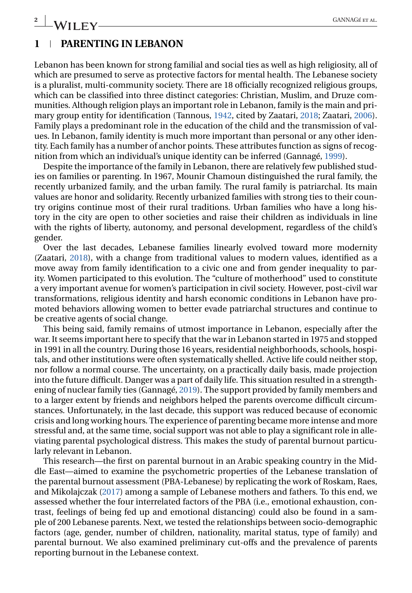#### **1 PARENTING IN LEBANON**

Lebanon has been known for strong familial and social ties as well as high religiosity, all of which are presumed to serve as protective factors for mental health. The Lebanese society is a pluralist, multi-community society. There are 18 officially recognized religious groups, which can be classified into three distinct categories: Christian, Muslim, and Druze communities. Although religion plays an important role in Lebanon, family is the main and primary group entity for identification (Tannous, [1942,](#page-13-0) cited by Zaatari, [2018;](#page-13-0) Zaatari, [2006\)](#page-13-0). Family plays a predominant role in the education of the child and the transmission of values. In Lebanon, family identity is much more important than personal or any other identity. Each family has a number of anchor points. These attributes function as signs of recognition from which an individual's unique identity can be inferred (Gannagé, [1999\)](#page-12-0).

Despite the importance of the family in Lebanon, there are relatively few published studies on families or parenting. In 1967, Mounir Chamoun distinguished the rural family, the recently urbanized family, and the urban family. The rural family is patriarchal. Its main values are honor and solidarity. Recently urbanized families with strong ties to their country origins continue most of their rural traditions. Urban families who have a long history in the city are open to other societies and raise their children as individuals in line with the rights of liberty, autonomy, and personal development, regardless of the child's gender.

Over the last decades, Lebanese families linearly evolved toward more modernity (Zaatari, [2018\)](#page-13-0), with a change from traditional values to modern values, identified as a move away from family identification to a civic one and from gender inequality to parity. Women participated to this evolution. The "culture of motherhood" used to constitute a very important avenue for women's participation in civil society. However, post-civil war transformations, religious identity and harsh economic conditions in Lebanon have promoted behaviors allowing women to better evade patriarchal structures and continue to be creative agents of social change.

This being said, family remains of utmost importance in Lebanon, especially after the war. It seems important here to specify that the war in Lebanon started in 1975 and stopped in 1991 in all the country. During those 16 years, residential neighborhoods, schools, hospitals, and other institutions were often systematically shelled. Active life could neither stop, nor follow a normal course. The uncertainty, on a practically daily basis, made projection into the future difficult. Danger was a part of daily life. This situation resulted in a strengthening of nuclear family ties (Gannagé, [2019\)](#page-12-0). The support provided by family members and to a larger extent by friends and neighbors helped the parents overcome difficult circumstances. Unfortunately, in the last decade, this support was reduced because of economic crisis and long working hours. The experience of parenting became more intense and more stressful and, at the same time, social support was not able to play a significant role in alleviating parental psychological distress. This makes the study of parental burnout particularly relevant in Lebanon.

This research—the first on parental burnout in an Arabic speaking country in the Middle East—aimed to examine the psychometric properties of the Lebanese translation of the parental burnout assessment (PBA-Lebanese) by replicating the work of Roskam, Raes, and Mikolajczak [\(2017\)](#page-13-0) among a sample of Lebanese mothers and fathers. To this end, we assessed whether the four interrelated factors of the PBA (i.e., emotional exhaustion, contrast, feelings of being fed up and emotional distancing) could also be found in a sample of 200 Lebanese parents. Next, we tested the relationships between socio-demographic factors (age, gender, number of children, nationality, marital status, type of family) and parental burnout. We also examined preliminary cut-offs and the prevalence of parents reporting burnout in the Lebanese context.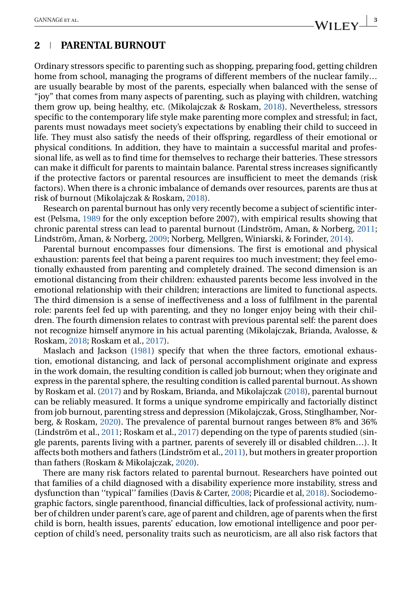#### **2 PARENTAL BURNOUT**

Ordinary stressors specific to parenting such as shopping, preparing food, getting children home from school, managing the programs of different members of the nuclear family… are usually bearable by most of the parents, especially when balanced with the sense of "joy" that comes from many aspects of parenting, such as playing with children, watching them grow up, being healthy, etc. (Mikolajczak & Roskam, [2018\)](#page-13-0). Nevertheless, stressors specific to the contemporary life style make parenting more complex and stressful; in fact, parents must nowadays meet society's expectations by enabling their child to succeed in life. They must also satisfy the needs of their offspring, regardless of their emotional or physical conditions. In addition, they have to maintain a successful marital and professional life, as well as to find time for themselves to recharge their batteries. These stressors can make it difficult for parents to maintain balance. Parental stress increases significantly if the protective factors or parental resources are insufficient to meet the demands (risk factors). When there is a chronic imbalance of demands over resources, parents are thus at risk of burnout (Mikolajczak & Roskam, [2018\)](#page-13-0).

Research on parental burnout has only very recently become a subject of scientific interest (Pelsma, [1989](#page-13-0) for the only exception before 2007), with empirical results showing that chronic parental stress can lead to parental burnout (Lindström, Aman, & Norberg, [2011;](#page-13-0) Lindström, Åman, & Norberg, [2009;](#page-13-0) Norberg, Mellgren, Winiarski, & Forinder, [2014\)](#page-13-0).

Parental burnout encompasses four dimensions. The first is emotional and physical exhaustion: parents feel that being a parent requires too much investment; they feel emotionally exhausted from parenting and completely drained. The second dimension is an emotional distancing from their children: exhausted parents become less involved in the emotional relationship with their children; interactions are limited to functional aspects. The third dimension is a sense of ineffectiveness and a loss of fulfilment in the parental role: parents feel fed up with parenting, and they no longer enjoy being with their children. The fourth dimension relates to contrast with previous parental self: the parent does not recognize himself anymore in his actual parenting (Mikolajczak, Brianda, Avalosse, & Roskam, [2018;](#page-13-0) Roskam et al., [2017\)](#page-13-0).

Maslach and Jackson [\(1981\)](#page-13-0) specify that when the three factors, emotional exhaustion, emotional distancing, and lack of personal accomplishment originate and express in the work domain, the resulting condition is called job burnout; when they originate and express in the parental sphere, the resulting condition is called parental burnout. As shown by Roskam et al. [\(2017\)](#page-13-0) and by Roskam, Brianda, and Mikolajczak [\(2018\)](#page-13-0), parental burnout can be reliably measured. It forms a unique syndrome empirically and factorially distinct from job burnout, parenting stress and depression (Mikolajczak, Gross, Stinglhamber, Norberg, & Roskam, [2020\)](#page-13-0). The prevalence of parental burnout ranges between 8% and 36% (Lindström et al., [2011;](#page-13-0) Roskam et al., [2017\)](#page-13-0) depending on the type of parents studied (single parents, parents living with a partner, parents of severely ill or disabled children…). It affects both mothers and fathers (Lindström et al., [2011\)](#page-13-0), but mothers in greater proportion than fathers (Roskam & Mikolajczak, [2020\)](#page-13-0).

There are many risk factors related to parental burnout. Researchers have pointed out that families of a child diagnosed with a disability experience more instability, stress and dysfunction than ''typical'' families (Davis & Carter, [2008;](#page-12-0) Picardie et al, [2018\)](#page-13-0). Sociodemographic factors, single parenthood, financial difficulties, lack of professional activity, number of children under parent's care, age of parent and children, age of parents when the first child is born, health issues, parents' education, low emotional intelligence and poor perception of child's need, personality traits such as neuroticism, are all also risk factors that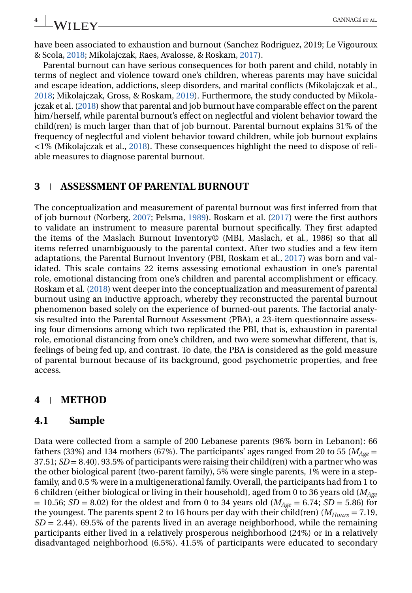have been associated to exhaustion and burnout (Sanchez Rodriguez, 2019; Le Vigouroux & Scola, [2018;](#page-13-0) Mikolajczak, Raes, Avalosse, & Roskam, [2017\)](#page-13-0).

Parental burnout can have serious consequences for both parent and child, notably in terms of neglect and violence toward one's children, whereas parents may have suicidal and escape ideation, addictions, sleep disorders, and marital conflicts (Mikolajczak et al., [2018;](#page-13-0) Mikolajczak, Gross, & Roskam, [2019\)](#page-13-0). Furthermore, the study conducted by Mikolajczak et al. [\(2018\)](#page-13-0) show that parental and job burnout have comparable effect on the parent him/herself, while parental burnout's effect on neglectful and violent behavior toward the child(ren) is much larger than that of job burnout. Parental burnout explains 31% of the frequency of neglectful and violent behavior toward children, while job burnout explains <1% (Mikolajczak et al., [2018\)](#page-13-0). These consequences highlight the need to dispose of reliable measures to diagnose parental burnout.

#### **3 ASSESSMENT OF PARENTAL BURNOUT**

The conceptualization and measurement of parental burnout was first inferred from that of job burnout (Norberg, [2007;](#page-13-0) Pelsma, [1989\)](#page-13-0). Roskam et al. [\(2017\)](#page-13-0) were the first authors to validate an instrument to measure parental burnout specifically. They first adapted the items of the Maslach Burnout Inventory© (MBI, Maslach, et al., 1986) so that all items referred unambiguously to the parental context. After two studies and a few item adaptations, the Parental Burnout Inventory (PBI, Roskam et al., [2017\)](#page-13-0) was born and validated. This scale contains 22 items assessing emotional exhaustion in one's parental role, emotional distancing from one's children and parental accomplishment or efficacy. Roskam et al. [\(2018\)](#page-13-0) went deeper into the conceptualization and measurement of parental burnout using an inductive approach, whereby they reconstructed the parental burnout phenomenon based solely on the experience of burned-out parents. The factorial analysis resulted into the Parental Burnout Assessment (PBA), a 23-item questionnaire assessing four dimensions among which two replicated the PBI, that is, exhaustion in parental role, emotional distancing from one's children, and two were somewhat different, that is, feelings of being fed up, and contrast. To date, the PBA is considered as the gold measure of parental burnout because of its background, good psychometric properties, and free access.

#### **4 METHOD**

#### **4.1 Sample**

Data were collected from a sample of 200 Lebanese parents (96% born in Lebanon): 66 fathers (33%) and 134 mothers (67%). The participants' ages ranged from 20 to 55 ( $M_{A\alpha\beta}$  = 37.51; *SD* = 8.40). 93.5% of participants were raising their child(ren) with a partner who was the other biological parent (two-parent family), 5% were single parents, 1% were in a stepfamily, and 0.5 % were in a multigenerational family. Overall, the participants had from 1 to 6 children (either biological or living in their household), aged from 0 to 36 years old (*MAge*  $= 10.56$ ; *SD* = 8.02) for the oldest and from 0 to 34 years old ( $M_{Aee} = 6.74$ ; *SD* = 5.86) for the youngest. The parents spent 2 to 16 hours per day with their child(ren)  $(M_{Hours} = 7.19$ ,  $SD = 2.44$ ). 69.5% of the parents lived in an average neighborhood, while the remaining participants either lived in a relatively prosperous neighborhood (24%) or in a relatively disadvantaged neighborhood (6.5%). 41.5% of participants were educated to secondary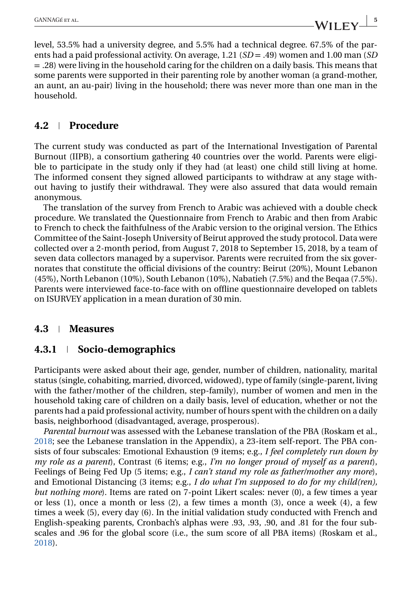level, 53.5% had a university degree, and 5.5% had a technical degree. 67.5% of the parents had a paid professional activity. On average, 1.21 (*SD* = .49) women and 1.00 man (*SD* = .28) were living in the household caring for the children on a daily basis. This means that some parents were supported in their parenting role by another woman (a grand-mother, an aunt, an au-pair) living in the household; there was never more than one man in the household.

#### **4.2 Procedure**

The current study was conducted as part of the International Investigation of Parental Burnout (IIPB), a consortium gathering 40 countries over the world. Parents were eligible to participate in the study only if they had (at least) one child still living at home. The informed consent they signed allowed participants to withdraw at any stage without having to justify their withdrawal. They were also assured that data would remain anonymous.

The translation of the survey from French to Arabic was achieved with a double check procedure. We translated the Questionnaire from French to Arabic and then from Arabic to French to check the faithfulness of the Arabic version to the original version. The Ethics Committee of the Saint-Joseph University of Beirut approved the study protocol. Data were collected over a 2-month period, from August 7, 2018 to September 15, 2018, by a team of seven data collectors managed by a supervisor. Parents were recruited from the six governorates that constitute the official divisions of the country: Beirut (20%), Mount Lebanon (45%), North Lebanon (10%), South Lebanon (10%), Nabatieh (7.5%) and the Beqaa (7.5%). Parents were interviewed face-to-face with on offline questionnaire developed on tablets on ISURVEY application in a mean duration of 30 min.

#### **4.3 Measures**

### **4.3.1 Socio-demographics**

Participants were asked about their age, gender, number of children, nationality, marital status (single, cohabiting, married, divorced, widowed), type of family (single-parent, living with the father/mother of the children, step-family), number of women and men in the household taking care of children on a daily basis, level of education, whether or not the parents had a paid professional activity, number of hours spent with the children on a daily basis, neighborhood (disadvantaged, average, prosperous).

*Parental burnout* was assessed with the Lebanese translation of the PBA (Roskam et al., [2018;](#page-13-0) see the Lebanese translation in the Appendix), a 23-item self-report. The PBA consists of four subscales: Emotional Exhaustion (9 items; e.g., *I feel completely run down by my role as a parent*), Contrast (6 items; e.g., *I'm no longer proud of myself as a parent*), Feelings of Being Fed Up (5 items; e.g., *I can't stand my role as father/mother any more*), and Emotional Distancing (3 items; e.g., *I do what I'm supposed to do for my child(ren), but nothing more*). Items are rated on 7-point Likert scales: never (0), a few times a year or less (1), once a month or less (2), a few times a month (3), once a week (4), a few times a week (5), every day (6). In the initial validation study conducted with French and English-speaking parents, Cronbach's alphas were .93, .93, .90, and .81 for the four subscales and .96 for the global score (i.e., the sum score of all PBA items) (Roskam et al., [2018\)](#page-13-0).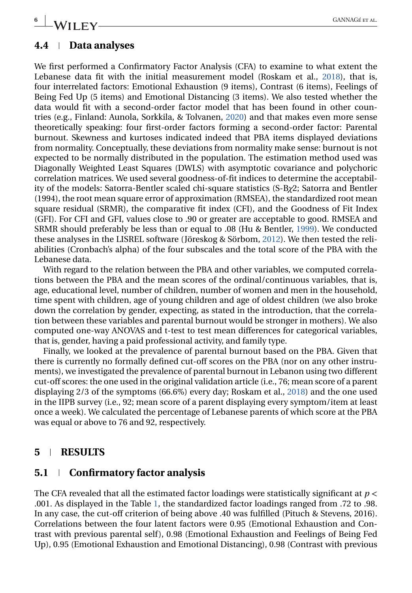# **6** GANNAGÉ ET AL.

#### **4.4 Data analyses**

We first performed a Confirmatory Factor Analysis (CFA) to examine to what extent the Lebanese data fit with the initial measurement model (Roskam et al., [2018\)](#page-13-0), that is, four interrelated factors: Emotional Exhaustion (9 items), Contrast (6 items), Feelings of Being Fed Up (5 items) and Emotional Distancing (3 items). We also tested whether the data would fit with a second-order factor model that has been found in other countries (e.g., Finland: Aunola, Sorkkila, & Tolvanen, [2020\)](#page-12-0) and that makes even more sense theoretically speaking: four first-order factors forming a second-order factor: Parental burnout. Skewness and kurtoses indicated indeed that PBA items displayed deviations from normality. Conceptually, these deviations from normality make sense: burnout is not expected to be normally distributed in the population. The estimation method used was Diagonally Weighted Least Squares (DWLS) with asymptotic covariance and polychoric correlation matrices. We used several goodness-of-fit indices to determine the acceptability of the models: Satorra-Bentler scaled chi-square statistics (S-B*χ*2; Satorra and Bentler (1994), the root mean square error of approximation (RMSEA), the standardized root mean square residual (SRMR), the comparative fit index (CFI), and the Goodness of Fit Index (GFI). For CFI and GFI, values close to .90 or greater are acceptable to good. RMSEA and SRMR should preferably be less than or equal to .08 (Hu & Bentler, [1999\)](#page-12-0). We conducted these analyses in the LISREL software (Jöreskog & Sörbom, [2012\)](#page-12-0). We then tested the reliabilities (Cronbach's alpha) of the four subscales and the total score of the PBA with the Lebanese data.

With regard to the relation between the PBA and other variables, we computed correlations between the PBA and the mean scores of the ordinal/continuous variables, that is, age, educational level, number of children, number of women and men in the household, time spent with children, age of young children and age of oldest children (we also broke down the correlation by gender, expecting, as stated in the introduction, that the correlation between these variables and parental burnout would be stronger in mothers). We also computed one-way ANOVAS and t-test to test mean differences for categorical variables, that is, gender, having a paid professional activity, and family type.

Finally, we looked at the prevalence of parental burnout based on the PBA. Given that there is currently no formally defined cut-off scores on the PBA (nor on any other instruments), we investigated the prevalence of parental burnout in Lebanon using two different cut-off scores: the one used in the original validation article (i.e., 76; mean score of a parent displaying 2/3 of the symptoms (66.6%) every day; Roskam et al., [2018\)](#page-13-0) and the one used in the IIPB survey (i.e., 92; mean score of a parent displaying every symptom/item at least once a week). We calculated the percentage of Lebanese parents of which score at the PBA was equal or above to 76 and 92, respectively.

#### **5 RESULTS**

#### **5.1 Confirmatory factor analysis**

The CFA revealed that all the estimated factor loadings were statistically significant at *p* < .001. As displayed in the Table [1,](#page-6-0) the standardized factor loadings ranged from .72 to .98. In any case, the cut-off criterion of being above .40 was fulfilled (Pituch & Stevens, 2016). Correlations between the four latent factors were 0.95 (Emotional Exhaustion and Contrast with previous parental self ), 0.98 (Emotional Exhaustion and Feelings of Being Fed Up), 0.95 (Emotional Exhaustion and Emotional Distancing), 0.98 (Contrast with previous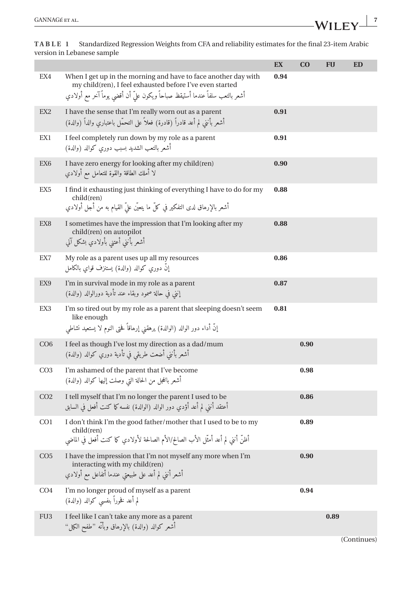لم أعد فخوراً بنفسى كوالد (والدة)

FU3 I feel like I can't take any more as a parent أشعر كوالد (والدة) بالإرهاق وبأنه "طفح الكيل"

**EX CO FU ED**

|  | EX4             | When I get up in the morning and have to face another day with<br>my child(ren), I feel exhausted before I've even started<br>أشعر بالتعب سلفاً عندما أستيقظ صباحاً ويكون علىّ أن أقضى يوماً آخر مع أولادي | 0.94 |      |  |
|--|-----------------|------------------------------------------------------------------------------------------------------------------------------------------------------------------------------------------------------------|------|------|--|
|  | EX <sub>2</sub> | I have the sense that I'm really worn out as a parent<br>أشعر بأننى لم أعد قادراً (قادرة) فعلاً على التحمّل باعتباري والداً (والدة)                                                                        | 0.91 |      |  |
|  | EX1             | I feel completely run down by my role as a parent<br>أشعر بالتعب الشديد بسبب دورى كوالد (والدة)                                                                                                            | 0.91 |      |  |
|  | EX <sub>6</sub> | I have zero energy for looking after my child(ren)<br>لا أملك الطاقة والقوة للتعامل مع أولادي                                                                                                              | 0.90 |      |  |
|  | EX <sub>5</sub> | I find it exhausting just thinking of everything I have to do for my<br>child(ren)<br>أشعر بالإرهاق لدى التفكير في كلِّ ما يتعيَّن عليَّ القيام به من أجل أولادي                                           | 0.88 |      |  |
|  | EX8             | I sometimes have the impression that I'm looking after my<br>child(ren) on autopilot<br>أشعر بأننى أعتنى بأولادي بشكل آلي                                                                                  | 0.88 |      |  |
|  | EX7             | My role as a parent uses up all my resources<br>إنَّ دوري كوالد (والدة) يستنزف قواي بالكامل                                                                                                                | 0.86 |      |  |
|  | EX9             | I'm in survival mode in my role as a parent<br>إنني في حالة صمود وبقاء عند تأدية دورالوالد (والدة)                                                                                                         | 0.87 |      |  |
|  | EX3             | I'm so tired out by my role as a parent that sleeping doesn't seem<br>like enough<br>إنَّ أداء دور الوالد (الوالدة) يرهقني إرهاقاً فحتى النوم لا يستعيد نشاطى                                              | 0.81 |      |  |
|  | CO6             | I feel as though I've lost my direction as a dad/mum<br>أشعر بأننى أضعت طريقى في تأدية دوري كوالد (والدة)                                                                                                  |      | 0.90 |  |
|  | CO <sub>3</sub> | I'm ashamed of the parent that I've become<br>أشعر بالخجل من الحالة التي وصلت إليها كوالد (والدة)                                                                                                          |      | 0.98 |  |
|  | CO <sub>2</sub> | I tell myself that I'm no longer the parent I used to be<br>أعتقد أنني لم أعد أؤدى دور الوالد (الوالدة) نفسه كما كنت أفعل في السابق                                                                        |      | 0.86 |  |
|  | CO <sub>1</sub> | I don't think I'm the good father/mother that I used to be to my<br>child(ren)<br>أظنَّ أنني لم أعد أمثَّل الأب الصالح/الأم الصالحة لأولادي كما كنت أفعل في الماضي                                         |      | 0.89 |  |
|  | CO <sub>5</sub> | I have the impression that I'm not myself any more when I'm<br>interacting with my child(ren)<br>أشعر أننى لم أعد على طبيعتى عندما أتفاعل مع أولادي                                                        |      | 0.90 |  |
|  | CO <sub>4</sub> | I'm no longer proud of myself as a parent                                                                                                                                                                  |      | 0.94 |  |

<span id="page-6-0"></span>**TABLE 1** Standardized Regression Weights from CFA and reliability estimates for the final 23-item Arabic version in Lebanese sample

(Continues)

**0.89**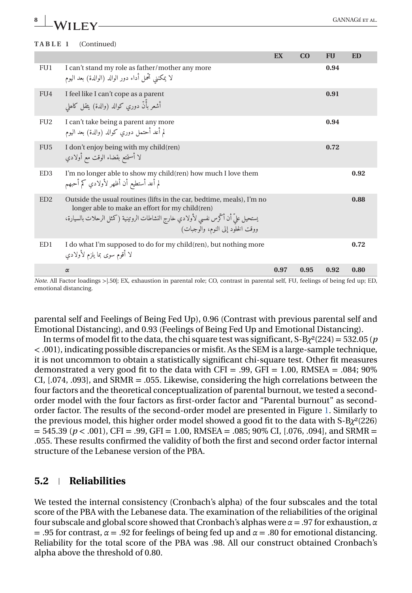# **8** GANNAGÉ ET AL.

|                 |                                                                                                                                                                                                                                                     | EX   | CO   | <b>FU</b> | ED   |
|-----------------|-----------------------------------------------------------------------------------------------------------------------------------------------------------------------------------------------------------------------------------------------------|------|------|-----------|------|
| FU1             | I can't stand my role as father/mother any more<br>لا يمكنني تُحمل أداء دور الوالد (الوالدة) بعد اليوم                                                                                                                                              |      |      | 0.94      |      |
| FU <sub>4</sub> | I feel like I can't cope as a parent<br>أشعر بأَنّ دوري كوالد (والدة) يثقل كاهلي                                                                                                                                                                    |      |      | 0.91      |      |
| FU <sub>2</sub> | I can't take being a parent any more<br>لم أعد أحتمل دوري كوالد (والدة) بعد اليوم                                                                                                                                                                   |      |      | 0.94      |      |
| FU <sub>5</sub> | I don't enjoy being with my child (ren)<br>لا أستمتع بقضاء الوقت مع أولادي                                                                                                                                                                          |      |      | 0.72      |      |
| ED <sub>3</sub> | I'm no longer able to show my child(ren) how much I love them<br>لم أعد أستطيع أن أظهر لأولادي كم أحبهم                                                                                                                                             |      |      |           | 0.92 |
| ED2             | Outside the usual routines (lifts in the car, bedtime, meals), I'm no<br>longer able to make an effort for my child (ren)<br>يستحيل علىّ أن أكَّرس نفسي لأولادي خارج النشاطات الروتينية (كمثل الرحلات بالسيارة،<br>ووقت الخلود إلى النوم، والوجبات) |      |      |           | 0.88 |
| ED1             | I do what I'm supposed to do for my child (ren), but nothing more<br>لا أقوم سوى بما يلزم لأولادي                                                                                                                                                   |      |      |           | 0.72 |
|                 | $\alpha$                                                                                                                                                                                                                                            | 0.97 | 0.95 | 0.92      | 0.80 |

*Note*. All Factor loadings >1.50|; EX, exhaustion in parental role; CO, contrast in parental self, FU, feelings of being fed up; ED, emotional distancing.

parental self and Feelings of Being Fed Up), 0.96 (Contrast with previous parental self and Emotional Distancing), and 0.93 (Feelings of Being Fed Up and Emotional Distancing).

In terms of model fit to the data, the chi square test was significant,  $S-B\chi^2(224) = 532.05$  (*p* < .001), indicating possible discrepancies or misfit. As the SEM is a large-sample technique, it is not uncommon to obtain a statistically significant chi-square test. Other fit measures demonstrated a very good fit to the data with CFI = .99, GFI = 1.00, RMSEA = .084; 90% CI, [.074, .093], and SRMR = .055. Likewise, considering the high correlations between the four factors and the theoretical conceptualization of parental burnout, we tested a secondorder model with the four factors as first-order factor and "Parental burnout" as secondorder factor. The results of the second-order model are presented in Figure [1.](#page-8-0) Similarly to the previous model, this higher order model showed a good fit to the data with S-B*χ*²(226)  $= 545.39$  ( $p < .001$ ), CFI = .99, GFI = 1.00, RMSEA = .085; 90% CI, [.076, .094], and SRMR = .055. These results confirmed the validity of both the first and second order factor internal structure of the Lebanese version of the PBA.

### **5.2 Reliabilities**

We tested the internal consistency (Cronbach's alpha) of the four subscales and the total score of the PBA with the Lebanese data. The examination of the reliabilities of the original four subscale and global score showed that Cronbach's alphas were *α* = .97 for exhaustion, *α* = .95 for contrast, *α* = .92 for feelings of being fed up and *α* = .80 for emotional distancing. Reliability for the total score of the PBA was .98. All our construct obtained Cronbach's alpha above the threshold of 0.80.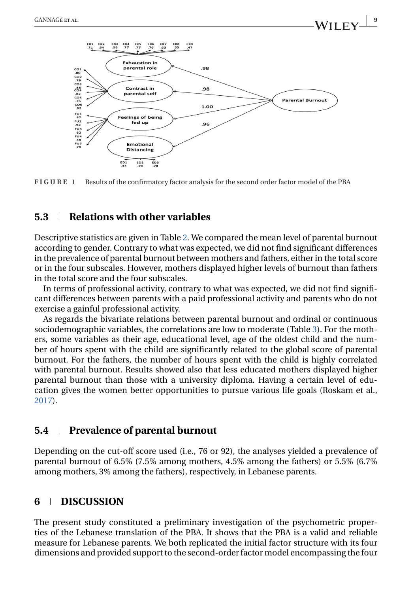<span id="page-8-0"></span>

**FIGURE 1** Results of the confirmatory factor analysis for the second order factor model of the PBA

#### **5.3 Relations with other variables**

Descriptive statistics are given in Table [2.](#page-9-0) We compared the mean level of parental burnout according to gender. Contrary to what was expected, we did not find significant differences in the prevalence of parental burnout between mothers and fathers, either in the total score or in the four subscales. However, mothers displayed higher levels of burnout than fathers in the total score and the four subscales.

In terms of professional activity, contrary to what was expected, we did not find significant differences between parents with a paid professional activity and parents who do not exercise a gainful professional activity.

As regards the bivariate relations between parental burnout and ordinal or continuous sociodemographic variables, the correlations are low to moderate (Table [3\)](#page-10-0). For the mothers, some variables as their age, educational level, age of the oldest child and the number of hours spent with the child are significantly related to the global score of parental burnout. For the fathers, the number of hours spent with the child is highly correlated with parental burnout. Results showed also that less educated mothers displayed higher parental burnout than those with a university diploma. Having a certain level of education gives the women better opportunities to pursue various life goals (Roskam et al., [2017\)](#page-13-0).

#### **5.4 Prevalence of parental burnout**

Depending on the cut-off score used (i.e., 76 or 92), the analyses yielded a prevalence of parental burnout of 6.5% (7.5% among mothers, 4.5% among the fathers) or 5.5% (6.7% among mothers, 3% among the fathers), respectively, in Lebanese parents.

#### **6 DISCUSSION**

The present study constituted a preliminary investigation of the psychometric properties of the Lebanese translation of the PBA. It shows that the PBA is a valid and reliable measure for Lebanese parents. We both replicated the initial factor structure with its four dimensions and provided support to the second-order factor model encompassing the four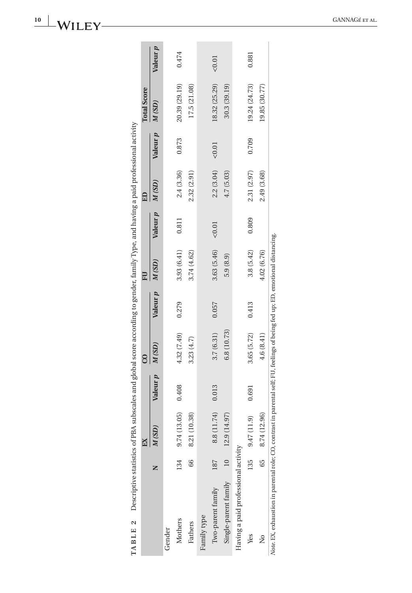|                                                                                                                                     |     |                 |                 |                    |                 |             |          | Ê           |          | <b>Total Score</b> |          |
|-------------------------------------------------------------------------------------------------------------------------------------|-----|-----------------|-----------------|--------------------|-----------------|-------------|----------|-------------|----------|--------------------|----------|
|                                                                                                                                     |     | M(SD)           | Valeur <i>p</i> | M(SD)              | Valeur <i>p</i> | M(SD)       | Valeur p | M(SD)       | Valeur p | M(SD)              | Valeur p |
| Gender                                                                                                                              |     |                 |                 |                    |                 |             |          |             |          |                    |          |
| Mothers                                                                                                                             | 134 | 9.74 (13.05)    | 0.408           | 4.32 (7.49)        | 0.279           | 3.93(6.41)  | 0.811    | 2.4(3.36)   | 0.873    | 20.39 (29.19)      | 0.474    |
| Fathers                                                                                                                             | 66  | 8.21 (10.38)    |                 | 3.23(4.7)          |                 | 3.74 (4.62) |          | 2.32 (2.91) |          | 17.5 (21.08)       |          |
| Family type                                                                                                                         |     |                 |                 |                    |                 |             |          |             |          |                    |          |
| Two-parent family                                                                                                                   | 187 | 8.8 (11.74)     | 0.013           | 3.7(6.31)          | 0.057           | 3.63 (5.46) | < 0.01   | 2.2(3.04)   | < 0.01   | 18.32 (25.29)      | < 0.01   |
| Single-parent family 10 12.9 (14.97)                                                                                                |     |                 |                 | 6.8 (10.73)        |                 | 5.9(8.9)    |          | 4.7 (5.03)  |          | 30.3 (39.19)       |          |
| Having a paid professional activity                                                                                                 |     |                 |                 |                    |                 |             |          |             |          |                    |          |
| Yes                                                                                                                                 |     | 135 9.47 (11.9) | 0.691           | $3.65(5.72)$ 0.413 |                 | 3.8(5.42)   | 0.809    | 2.31 (2.97) | 0.709    | 19.24 (24.73)      | 0.881    |
| $\frac{1}{2}$                                                                                                                       |     | 65 8.74 (12.96) |                 | 4.6(8.41)          |                 | 4.02 (6.76) |          | 2.49 (3.68) |          | 19.85 (30.77)      |          |
| <i>Note EX, exhaustion in parental role;</i> CO, contrast in parental self; FU, feelings of being fed up; ED, emotional distancing. |     |                 |                 |                    |                 |             |          |             |          |                    |          |

<span id="page-9-0"></span>**10 WHFY** GANNAGÉ ET AL.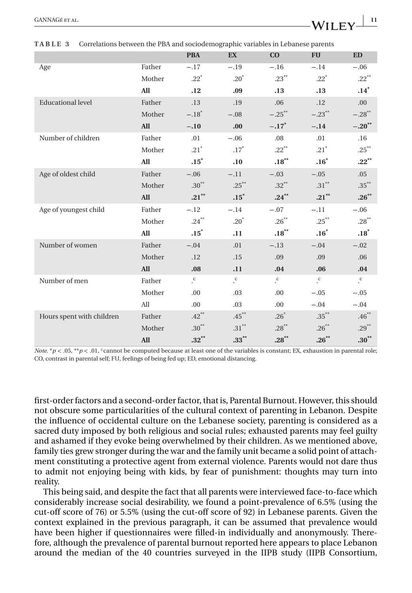|                           |            | <b>PBA</b>           | <b>EX</b>            | CO                   | <b>FU</b>          | <b>ED</b>            |
|---------------------------|------------|----------------------|----------------------|----------------------|--------------------|----------------------|
| Age                       | Father     | $-.17$               | $-.19$               | $-.16$               | $-.14$             | $-.06$               |
|                           | Mother     | $.22*$               | $.20*$               | $.23***$             | $.22*$             | $.22***$             |
|                           | <b>All</b> | .12                  | .09                  | .13                  | .13                | $.14$ <sup>*</sup>   |
| <b>Educational level</b>  | Father     | .13                  | .19                  | .06                  | .12                | .00.                 |
|                           | Mother     | $-.18$ <sup>*</sup>  | $-.08$               | $-.25$ **            | $-.23$ **          | $-.28$ <sup>**</sup> |
|                           | All        | $-.10$               | .00.                 | $-.17*$              | $-.14$             | $-.20**$             |
| Number of children        | Father     | .01                  | $-.06$               | .08                  | .01                | .16                  |
|                           | Mother     | $.21$ <sup>*</sup>   | $.17^{\ast}$         | $.22$ <sup>**</sup>  | $.21^{\circ}$      | $.25***$             |
|                           | <b>All</b> | $.15^*$              | .10                  | $.18***$             | $.16^{\ast}$       | $.22***$             |
| Age of oldest child       | Father     | $-.06$               | $-.11$               | $-.03$               | $-.05$             | .05                  |
|                           | Mother     | $.30^{\ast\ast}$     | $.25***$             | $.32\sp{*}$          | $.31^{\ast\ast}$   | $.35^{\ast\ast}$     |
|                           | All        | $.21***$             | $\boldsymbol{.15}^*$ | $.24***$             | $.21***$           | $.26***$             |
| Age of youngest child     | Father     | $-.12$               | $-.14$               | $-.07$               | $-.11$             | $-.06$               |
|                           | Mother     | $.24\sp{^\ast}$      | $.20^*$              | $.26***$             | $.25***$           | $.28^{\ast\ast}$     |
|                           | All        | $.15$ <sup>*</sup>   | .11                  | $.18***$             | $.16*$             | .18                  |
| Number of women           | Father     | $-.04$               | .01                  | $-.13$               | $-.04$             | $-.02$               |
|                           | Mother     | .12                  | .15                  | .09                  | .09                | .06                  |
|                           | All        | .08                  | .11                  | .04                  | .06                | ${\bf .04}$          |
| Number of men             | Father     | $\cdot^{\mathrm{c}}$ | $\cdot^{\mathrm{c}}$ | $\cdot^{\mathrm{c}}$ | $\cdot^\mathrm{c}$ | $\cdot^{\mathrm{c}}$ |
|                           | Mother     | .00                  | .03                  | .00                  | $-.05$             | $-.05$               |
|                           | All        | .00                  | .03                  | .00                  | $-.04$             | $-.04$               |
| Hours spent with children | Father     | $.42***$             | $.45***$             | $.26*$               | $.35^{\ast\ast}$   | $.46***$             |
|                           | Mother     | $.30^{\ast\ast}$     | $.31^{\ast\ast}$     | $.28^{\ast\ast}$     | $.26***$           | $.29***$             |
|                           | <b>All</b> | $.32***$             | $\mathbf{.33}^{**}$  | $.28***$             | $.26***$           | $.30**$              |

<span id="page-10-0"></span>**TABLE 3** Correlations between the PBA and sociodemographic variables in Lebanese parents

*Note.* \**p* < .05, \*\**p* < .01, <sup>c</sup>cannot be computed because at least one of the variables is constant; EX, exhaustion in parental role; CO, contrast in parental self; FU, feelings of being fed up; ED, emotional distancing.

first-order factors and a second-order factor, that is, Parental Burnout. However, this should not obscure some particularities of the cultural context of parenting in Lebanon. Despite the influence of occidental culture on the Lebanese society, parenting is considered as a sacred duty imposed by both religious and social rules; exhausted parents may feel guilty and ashamed if they evoke being overwhelmed by their children. As we mentioned above, family ties grew stronger during the war and the family unit became a solid point of attachment constituting a protective agent from external violence. Parents would not dare thus to admit not enjoying being with kids, by fear of punishment: thoughts may turn into reality.

This being said, and despite the fact that all parents were interviewed face-to-face which considerably increase social desirability, we found a point-prevalence of 6.5% (using the cut-off score of 76) or 5.5% (using the cut-off score of 92) in Lebanese parents. Given the context explained in the previous paragraph, it can be assumed that prevalence would have been higher if questionnaires were filled-in individually and anonymously. Therefore, although the prevalence of parental burnout reported here appears to place Lebanon around the median of the 40 countries surveyed in the IIPB study (IIPB Consortium,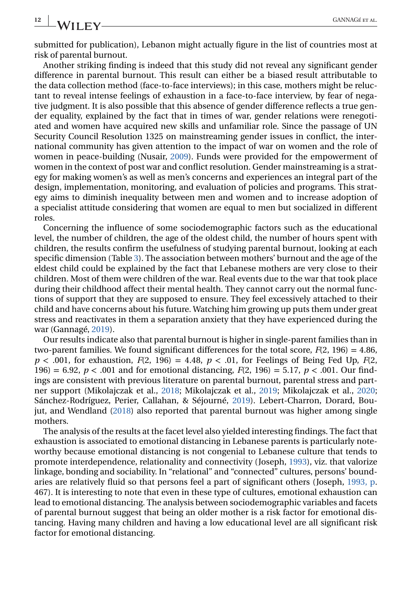submitted for publication), Lebanon might actually figure in the list of countries most at risk of parental burnout.

Another striking finding is indeed that this study did not reveal any significant gender difference in parental burnout. This result can either be a biased result attributable to the data collection method (face-to-face interviews); in this case, mothers might be reluctant to reveal intense feelings of exhaustion in a face-to-face interview, by fear of negative judgment. It is also possible that this absence of gender difference reflects a true gender equality, explained by the fact that in times of war, gender relations were renegotiated and women have acquired new skills and unfamiliar role. Since the passage of UN Security Council Resolution 1325 on mainstreaming gender issues in conflict, the international community has given attention to the impact of war on women and the role of women in peace-building (Nusair, [2009\)](#page-13-0). Funds were provided for the empowerment of women in the context of post war and conflict resolution. Gender mainstreaming is a strategy for making women's as well as men's concerns and experiences an integral part of the design, implementation, monitoring, and evaluation of policies and programs. This strategy aims to diminish inequality between men and women and to increase adoption of a specialist attitude considering that women are equal to men but socialized in different roles.

Concerning the influence of some sociodemographic factors such as the educational level, the number of children, the age of the oldest child, the number of hours spent with children, the results confirm the usefulness of studying parental burnout, looking at each specific dimension (Table [3\)](#page-10-0). The association between mothers' burnout and the age of the eldest child could be explained by the fact that Lebanese mothers are very close to their children. Most of them were children of the war. Real events due to the war that took place during their childhood affect their mental health. They cannot carry out the normal functions of support that they are supposed to ensure. They feel excessively attached to their child and have concerns about his future. Watching him growing up puts them under great stress and reactivates in them a separation anxiety that they have experienced during the war (Gannagé, [2019\)](#page-12-0).

Our results indicate also that parental burnout is higher in single-parent families than in two-parent families. We found significant differences for the total score, *F*(2, 196) = 4.86,  $p < .001$ , for exhaustion,  $F(2, 196) = 4.48$ ,  $p < .01$ , for Feelings of Being Fed Up,  $F(2, 196) = .01$ 196) = 6.92, *p* < .001 and for emotional distancing, *F*(2, 196) = 5.17, *p* < .001. Our findings are consistent with previous literature on parental burnout, parental stress and partner support (Mikolajczak et al., [2018;](#page-13-0) Mikolajczak et al., [2019;](#page-13-0) Mikolajczak et al., [2020;](#page-13-0) Sánchez-Rodríguez, Perier, Callahan, & Séjourné, [2019\)](#page-13-0). Lebert-Charron, Dorard, Boujut, and Wendland [\(2018\)](#page-13-0) also reported that parental burnout was higher among single mothers.

The analysis of the results at the facet level also yielded interesting findings. The fact that exhaustion is associated to emotional distancing in Lebanese parents is particularly noteworthy because emotional distancing is not congenial to Lebanese culture that tends to promote interdependence, relationality and connectivity (Joseph, [1993\)](#page-13-0), viz. that valorize linkage, bonding and sociability. In "relational" and "connected" cultures, persons' boundaries are relatively fluid so that persons feel a part of significant others (Joseph, [1993, p.](#page-13-0) 467). It is interesting to note that even in these type of cultures, emotional exhaustion can lead to emotional distancing. The analysis between sociodemographic variables and facets of parental burnout suggest that being an older mother is a risk factor for emotional distancing. Having many children and having a low educational level are all significant risk factor for emotional distancing.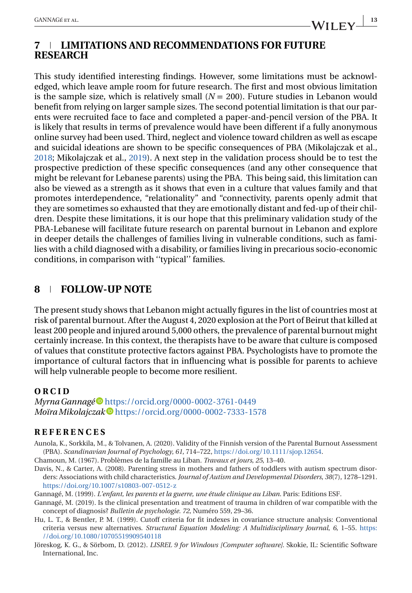#### <span id="page-12-0"></span>**7 LIMITATIONS AND RECOMMENDATIONS FOR FUTURE RESEARCH**

This study identified interesting findings. However, some limitations must be acknowledged, which leave ample room for future research. The first and most obvious limitation is the sample size, which is relatively small  $(N = 200)$ . Future studies in Lebanon would benefit from relying on larger sample sizes. The second potential limitation is that our parents were recruited face to face and completed a paper-and-pencil version of the PBA. It is likely that results in terms of prevalence would have been different if a fully anonymous online survey had been used. Third, neglect and violence toward children as well as escape and suicidal ideations are shown to be specific consequences of PBA (Mikolajczak et al., [2018;](#page-13-0) Mikolajczak et al., [2019\)](#page-13-0). A next step in the validation process should be to test the prospective prediction of these specific consequences (and any other consequence that might be relevant for Lebanese parents) using the PBA. This being said, this limitation can also be viewed as a strength as it shows that even in a culture that values family and that promotes interdependence, "relationality" and "connectivity, parents openly admit that they are sometimes so exhausted that they are emotionally distant and fed-up of their children. Despite these limitations, it is our hope that this preliminary validation study of the PBA-Lebanese will facilitate future research on parental burnout in Lebanon and explore in deeper details the challenges of families living in vulnerable conditions, such as families with a child diagnosed with a disability, or families living in precarious socio-economic conditions, in comparison with ''typical'' families.

#### **8 FOLLOW-UP NOTE**

The present study shows that Lebanon might actually figures in the list of countries most at risk of parental burnout. After the August 4, 2020 explosion at the Port of Beirut that killed at least 200 people and injured around 5,000 others, the prevalence of parental burnout might certainly increase. In this context, the therapists have to be aware that culture is composed of values that constitute protective factors against PBA. Psychologists have to promote the importance of cultural factors that in influencing what is possible for parents to achieve will help vulnerable people to become more resilient.

#### **ORCID**

*Myrna Gannagé* <https://orcid.org/0000-0002-3761-0449> *Moïra Mikolajczak* <https://orcid.org/0000-0002-7333-1578>

#### **REFERENCES**

- Aunola, K., Sorkkila, M., & Tolvanen, A. (2020). Validity of the Finnish version of the Parental Burnout Assessment (PBA). *Scandinavian Journal of Psychology*, *61*, 714–722, [https://doi.org/10.1111/sjop.12654.](https://doi.org/10.1111/sjop.12654)
- Chamoun, M. (1967). Problèmes de la famille au Liban. *Travaux et jours*, *25*, 13–40.
- Davis, N., & Carter, A. (2008). Parenting stress in mothers and fathers of toddlers with autism spectrum disorders: Associations with child characteristics. *Journal of Autism and Developmental Disorders*, *38*(7), 1278–1291. <https://doi.org/10.1007/s10803-007-0512-z>
- Gannagé, M. (1999). *L'enfant, les parents et la guerre, une étude clinique au Liban*. Paris: Editions ESF.
- Gannagé, M. (2019). Is the clinical presentation and treatment of trauma in children of war compatible with the concept of diagnosis? *Bulletin de psychologie. 72*, Numéro 559, 29–36.
- Hu, L. T., & Bentler, P. M. (1999). Cutoff criteria for fit indexes in covariance structure analysis: Conventional criteria versus new alternatives. *Structural Equation Modeling: A Multidisciplinary Journal*, *6*, 1–55. [https:](https://doi.org/10.1080/10705519909540118) [//doi.org/10.1080/10705519909540118](https://doi.org/10.1080/10705519909540118)
- Jöreskog, K. G., & Sörbom, D. (2012). *LISREL 9 for Windows [Computer software]*. Skokie, IL: Scientific Software International, Inc.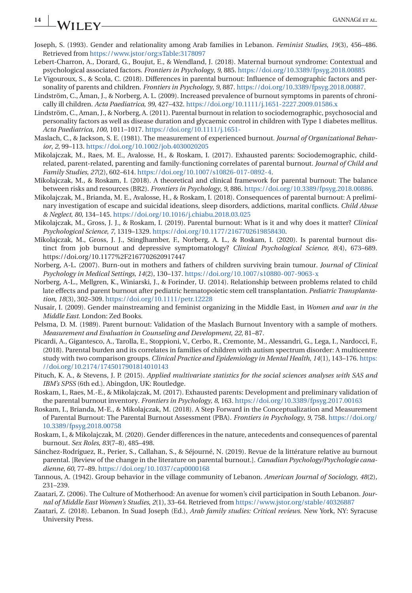### <span id="page-13-0"></span>**14 WII FV**

- Joseph, S. (1993). Gender and relationality among Arab families in Lebanon. *Feminist Studies*, *19*(3), 456–486. Retrieved from <https://www.jstor/org:sTable:3178097>
- Lebert-Charron, A., Dorard, G., Boujut, E., & Wendland, J. (2018). Maternal burnout syndrome: Contextual and psychological associated factors. *Frontiers in Psychology*, *9*, 885. <https://doi.org/10.3389/fpsyg.2018.00885>
- Le Vigouroux, S., & Scola, C. (2018). Differences in parental burnout: Influence of demographic factors and personality of parents and children. *Frontiers in Psychology*, *9*, 887. [https://doi.org/10.3389/fpsyg.2018.00887.](https://doi.org/10.3389/fpsyg.2018.00887)
- Lindström, C., Åman, J., & Norberg, A. L. (2009). Increased prevalence of burnout symptoms in parents of chronically ill children. *Acta Paediatrica*, *99*, 427–432. <https://doi.org/10.1111/j.1651-2227.2009.01586.x>
- Lindström, C., Aman, J., & Norberg, A. (2011). Parental burnout in relation to sociodemographic, psychosocial and personality factors as well as disease duration and glycaemic control in children with Type 1 diabetes mellitus. *Acta Paediatrica*, *100*, 1011–1017. <https://doi.org/10.1111/j.1651->
- Maslach, C., & Jackson, S. E. (1981). The measurement of experienced burnout. *Journal of Organizational Behavior*, *2*, 99–113. <https://doi.org/10.1002/job.4030020205>
- Mikolajczak, M., Raes, M. E., Avalosse, H., & Roskam, I. (2017). Exhausted parents: Sociodemographic, childrelated, parent-related, parenting and family-functioning correlates of parental burnout. *Journal of Child and Family Studies*, *27*(2), 602–614. [https://doi.org/10.1007/s10826-017-0892-4.](https://doi.org/10.1007/s10826-017-0892-4)
- Mikolajczak, M., & Roskam, I. (2018). A theoretical and clinical framework for parental burnout: The balance between risks and resources (BR2). *Frontiers in Psychology*, *9*, 886. [https://doi.org/10.3389/fpsyg.2018.00886.](https://doi.org/10.3389/fpsyg.2018.00886)
- Mikolajczak, M., Brianda, M. E., Avalosse, H., & Roskam, I. (2018). Consequences of parental burnout: A preliminary investigation of escape and suicidal ideations, sleep disorders, addictions, marital conflicts. *Child Abuse & Neglect*, *80*, 134–145. <https://doi.org/10.1016/j.chiabu.2018.03.025>
- Mikolajczak, M., Gross, J. J., & Roskam, I. (2019). Parental burnout: What is it and why does it matter? *Clinical Psychological Science*, *7*, 1319–1329. [https://doi.org/10.1177/2167702619858430.](https://doi.org/10.1177/2167702619858430)
- Mikolajczak, M., Gross, J. J., Stinglhamber, F., Norberg, A. L., & Roskam, I. (2020). Is parental burnout distinct from job burnout and depressive symptomatology? *Clinical Psychological Science*, *8*(4), 673–689. https://doi.org/10.1177%2F2167702620917447
- Norberg, A-L. (2007). Burn-out in mothers and fathers of children surviving brain tumour. *Journal of Clinical Psychology in Medical Settings*, *14*(2), 130–137. <https://doi.org/10.1007/s10880-007-9063-x>
- Norberg, A-L., Mellgren, K., Winiarski, J., & Forinder, U. (2014). Relationship between problems related to child late effects and parent burnout after pediatric hematopoietic stem cell transplantation. *Pediatric Transplantation*, *18*(3), 302–309. <https://doi.org/10.1111/petr.12228>
- Nusair, I. (2009). Gender mainstreaming and feminist organizing in the Middle East, in *Women and war in the Middle East*. London: Zed Books.
- Pelsma, D. M. (1989). Parent burnout: Validation of the Maslach Burnout Inventory with a sample of mothers. *Measurement and Evaluation in Counseling and Development*, *22*, 81–87.
- Picardi, A., Gigantesco, A., Tarolla, E., Stoppioni, V., Cerbo, R., Cremonte, M., Alessandri, G., Lega, I., Nardocci, F., (2018). Parental burden and its correlates in families of children with autism spectrum disorder: A multicentre study with two comparison groups. *Clinical Practice and Epidemiology in Mental Health*, *14*(1), 143–176. [https:](https://doi.org/10.2174/1745017901814010143) [//doi.org/10.2174/1745017901814010143](https://doi.org/10.2174/1745017901814010143)
- Pituch, K. A., & Stevens, J. P. (2015). *Applied multivariate statistics for the social sciences analyses with SAS and IBM's SPSS* (6th ed.). Abingdon, UK: Routledge.
- Roskam, I., Raes, M.-E., & Mikolajczak, M. (2017). Exhausted parents: Development and preliminary validation of the parental burnout inventory. *Frontiers in Psychology*, *8*, 163. <https://doi.org/10.3389/fpsyg.2017.00163>
- Roskam, I., Brianda, M-E., & Mikolajczak, M. (2018). A Step Forward in the Conceptualization and Measurement of Parental Burnout: The Parental Burnout Assessment (PBA). *Frontiers in Psychology*, *9*, 758. [https://doi.org/](https://doi.org/10.3389/fpsyg.2018.00758) [10.3389/fpsyg.2018.00758](https://doi.org/10.3389/fpsyg.2018.00758)
- Roskam, I., & Mikolajczak, M. (2020). Gender differences in the nature, antecedents and consequences of parental burnout. *Sex Roles*, *83*(7–8), 485–498.
- Sánchez-Rodríguez, R., Perier, S., Callahan, S., & Séjourné, N. (2019). Revue de la littérature relative au burnout parental. [Review of the change in the literature on parental burnout.]. *Canadian Psychology/Psychologie canadienne*, *60*, 77–89. <https://doi.org/10.1037/cap0000168>
- Tannous, A. (1942). Group behavior in the village community of Lebanon. *American Journal of Sociology*, *48*(2), 231–239.
- Zaatari, Z. (2006). The Culture of Motherhood: An avenue for women's civil participation in South Lebanon. *Journal of Middle East Women's Studies*, *2*(1), 33–64. Retrieved from <https://www.jstor.org/stable/40326887>
- Zaatari, Z. (2018). Lebanon. In Suad Joseph (Ed.), *Arab family studies: Critical reviews*. New York, NY: Syracuse University Press.